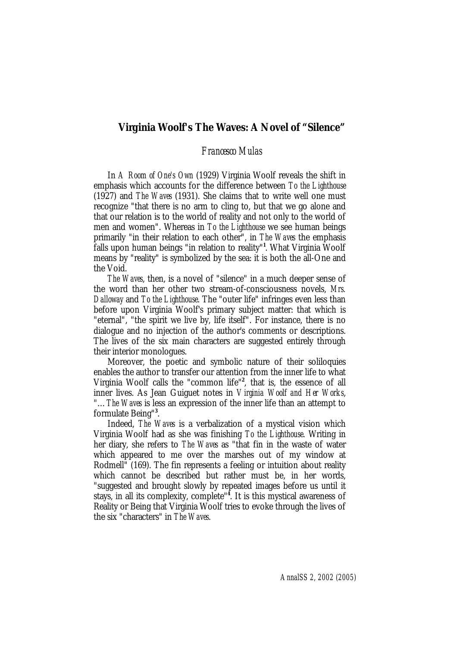## **Virginia Woolf's** *The Waves***: A Novel of "Silence"**

## *Francesco Mulas*

In *A Room of One's Own* (1929) Virginia Woolf reveals the shift in emphasis which accounts for the difference between *To the Lighthouse* (1927) and *The Waves* (1931). She claims that to write well one must recognize "that there is no arm to cling to, but that we go alone and that our relation is to the world of reality and not only to the world of men and women". Whereas in *To the Lighthouse* we see human beings primarily "in their relation to each other", in *The Waves* the emphasis falls upon human beings "in relation to reality" **1** . What Virginia Woolf means by "reality" is symbolized by the sea: it is both the all-One and the Void.

*The Waves*, then, is a novel of "silence" in a much deeper sense of the word than her other two stream-of-consciousness novels, *Mrs. Dalloway* and *To the Lighthouse*. The "outer life" infringes even less than before upon Virginia Woolf's primary subject matter: that which is "eternal", "the spirit we live by, life itself". For instance, there is no dialogue and no injection of the author's comments or descriptions. The lives of the six main characters are suggested entirely through their interior monologues.

Moreover, the poetic and symbolic nature of their soliloquies enables the author to transfer our attention from the inner life to what Virginia Woolf calls the "common life" **2** , that is, the essence of all inner lives. As Jean Guiguet notes in *Virginia Woolf and Her Works*, "…*The Waves* is less an expression of the inner life than an attempt to formulate Being" **3** .

Indeed, *The Waves* is a verbalization of a mystical vision which Virginia Woolf had as she was finishing *To the Lighthouse*. Writing in her diary, she refers to *The Waves* as "that fin in the waste of water which appeared to me over the marshes out of my window at Rodmell" (169). The fin represents a feeling or intuition about reality which cannot be described but rather must be, in her words, "suggested and brought slowly by repeated images before us until it stays, in all its complexity, complete" **4** . It is this mystical awareness of Reality or Being that Virginia Woolf tries to evoke through the lives of the six "characters" in *The Waves*.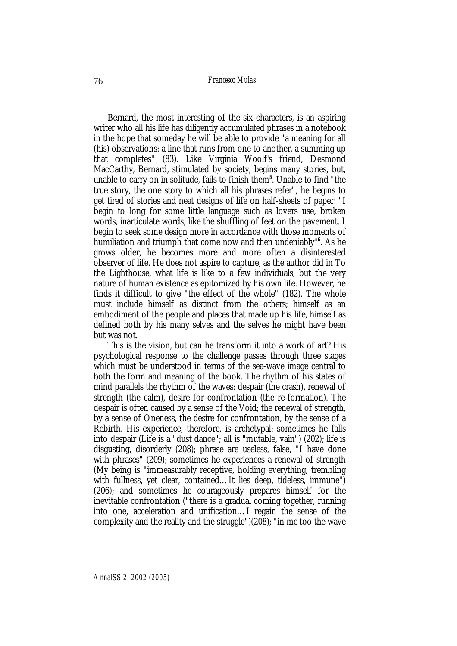Bernard, the most interesting of the six characters, is an aspiring writer who all his life has diligently accumulated phrases in a notebook in the hope that someday he will be able to provide "a meaning for all (his) observations: a line that runs from one to another, a summing up that completes" (83). Like Virginia Woolf's friend, Desmond MacCarthy, Bernard, stimulated by society, begins many stories, but, unable to carry on in solitude, fails to finish them**<sup>5</sup>** . Unable to find "the true story, the one story to which all his phrases refer", he begins to get tired of stories and neat designs of life on half-sheets of paper: "I begin to long for some little language such as lovers use, broken words, inarticulate words, like the shuffling of feet on the pavement. I begin to seek some design more in accordance with those moments of humiliation and triumph that come now and then undeniably" **6** . As he grows older, he becomes more and more often a disinterested observer of life. He does not aspire to capture, as the author did in To the Lighthouse, what life is like to a few individuals, but the very nature of human existence as epitomized by his own life. However, he finds it difficult to give "the effect of the whole" (182). The whole must include himself as distinct from the others; himself as an embodiment of the people and places that made up his life, himself as defined both by his many selves and the selves he might have been but was not.

This is the vision, but can he transform it into a work of art? His psychological response to the challenge passes through three stages which must be understood in terms of the sea-wave image central to both the form and meaning of the book. The rhythm of his states of mind parallels the rhythm of the waves: despair (the crash), renewal of strength (the calm), desire for confrontation (the re-formation). The despair is often caused by a sense of the Void; the renewal of strength, by a sense of Oneness, the desire for confrontation, by the sense of a Rebirth. His experience, therefore, is archetypal: sometimes he falls into despair (Life is a "dust dance"; all is "mutable, vain") (202); life is disgusting, disorderly (208); phrase are useless, false, "I have done with phrases" (209); sometimes he experiences a renewal of strength (My being is "immeasurably receptive, holding everything, trembling with fullness, yet clear, contained…It lies deep, tideless, immune") (206); and sometimes he courageously prepares himself for the inevitable confrontation ("there is a gradual coming together, running into one, acceleration and unification…I regain the sense of the complexity and the reality and the struggle")(208); "in me too the wave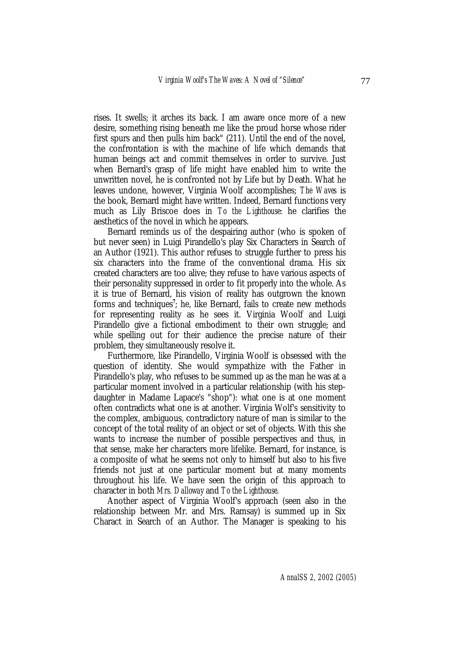rises. It swells; it arches its back. I am aware once more of a new desire, something rising beneath me like the proud horse whose rider first spurs and then pulls him back" (211). Until the end of the novel, the confrontation is with the machine of life which demands that human beings act and commit themselves in order to survive. Just when Bernard's grasp of life might have enabled him to write the unwritten novel, he is confronted not by Life but by Death. What he leaves undone, however, Virginia Woolf accomplishes; *The Waves* is the book, Bernard might have written. Indeed, Bernard functions very much as Lily Briscoe does in *To the Lighthouse*: he clarifies the aesthetics of the novel in which he appears.

Bernard reminds us of the despairing author (who is spoken of but never seen) in Luigi Pirandello's play Six Characters in Search of an Author (1921). This author refuses to struggle further to press his six characters into the frame of the conventional drama. His six created characters are too alive; they refuse to have various aspects of their personality suppressed in order to fit properly into the whole. As it is true of Bernard, his vision of reality has outgrown the known forms and techniques**<sup>7</sup>** ; he, like Bernard, fails to create new methods for representing reality as he sees it. Virginia Woolf and Luigi Pirandello give a fictional embodiment to their own struggle; and while spelling out for their audience the precise nature of their problem, they simultaneously resolve it.

Furthermore, like Pirandello, Virginia Woolf is obsessed with the question of identity. She would sympathize with the Father in Pirandello's play, who refuses to be summed up as the man he was at a particular moment involved in a particular relationship (with his stepdaughter in Madame Lapace's "shop"): what one is at one moment often contradicts what one is at another. Virginia Wolf's sensitivity to the complex, ambiguous, contradictory nature of man is similar to the concept of the total reality of an object or set of objects. With this she wants to increase the number of possible perspectives and thus, in that sense, make her characters more lifelike. Bernard, for instance, is a composite of what he seems not only to himself but also to his five friends not just at one particular moment but at many moments throughout his life. We have seen the origin of this approach to character in both *Mrs. Dalloway* and *To the Lighthouse*.

Another aspect of Virginia Woolf's approach (seen also in the relationship between Mr. and Mrs. Ramsay) is summed up in Six Charact in Search of an Author. The Manager is speaking to his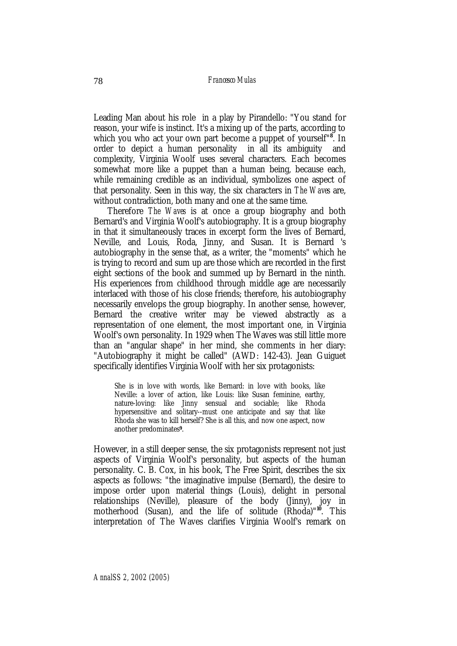Leading Man about his role in a play by Pirandello: "You stand for reason, your wife is instinct. It's a mixing up of the parts, according to which you who act your own part become a puppet of yourself"<sup>8</sup>. In order to depict a human personality in all its ambiguity and complexity, Virginia Woolf uses several characters. Each becomes somewhat more like a puppet than a human being, because each, while remaining credible as an individual, symbolizes one aspect of that personality. Seen in this way, the six characters in *The Waves* are, without contradiction, both many and one at the same time.

Therefore *The Waves* is at once a group biography and both Bernard's and Virginia Woolf's autobiography. It is a group biography in that it simultaneously traces in excerpt form the lives of Bernard, Neville, and Louis, Roda, Jinny, and Susan. It is Bernard 's autobiography in the sense that, as a writer, the "moments" which he is trying to record and sum up are those which are recorded in the first eight sections of the book and summed up by Bernard in the ninth. His experiences from childhood through middle age are necessarily interlaced with those of his close friends; therefore, his autobiography necessarily envelops the group biography. In another sense, however, Bernard the creative writer may be viewed abstractly as a representation of one element, the most important one, in Virginia Woolf's own personality. In 1929 when The Waves was still little more than an "angular shape" in her mind, she comments in her diary: "Autobiography it might be called" (AWD: 142-43). Jean Guiguet specifically identifies Virginia Woolf with her six protagonists:

She is in love with words, like Bernard: in love with books, like Neville: a lover of action, like Louis: like Susan feminine, earthy, nature-loving: like Jinny sensual and sociable; like Rhoda hypersensitive and solitary--must one anticipate and say that like Rhoda she was to kill herself? She is all this, and now one aspect, now another predominates**<sup>9</sup>** .

However, in a still deeper sense, the six protagonists represent not just aspects of Virginia Woolf's personality, but aspects of the human personality. C. B. Cox, in his book, The Free Spirit, describes the six aspects as follows: "the imaginative impulse (Bernard), the desire to impose order upon material things (Louis), delight in personal relationships (Neville), pleasure of the body (Jinny), joy in motherhood (Susan), and the life of solitude (Rhoda)" **10** . This interpretation of The Waves clarifies Virginia Woolf's remark on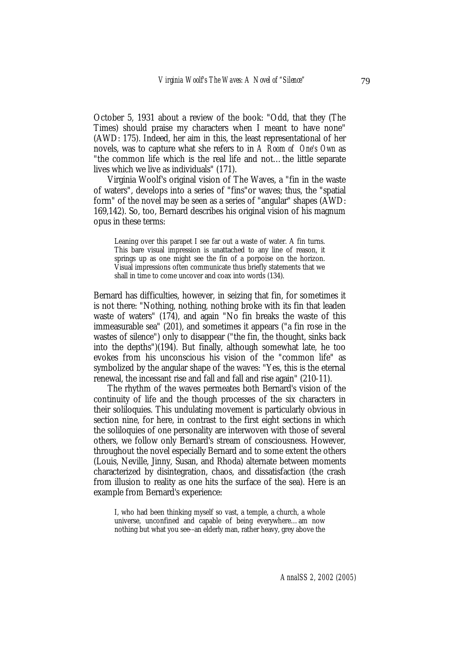October 5, 1931 about a review of the book: "Odd, that they (The Times) should praise my characters when I meant to have none" (AWD: 175). Indeed, her aim in this, the least representational of her novels, was to capture what she refers to in *A Room of One's Own* as "the common life which is the real life and not…the little separate lives which we live as individuals" (171).

Virginia Woolf's original vision of The Waves, a "fin in the waste of waters", develops into a series of "fins"or waves; thus, the "spatial form" of the novel may be seen as a series of "angular" shapes (AWD: 169,142). So, too, Bernard describes his original vision of his magnum opus in these terms:

Leaning over this parapet I see far out a waste of water. A fin turns. This bare visual impression is unattached to any line of reason, it springs up as one might see the fin of a porpoise on the horizon. Visual impressions often communicate thus briefly statements that we shall in time to come uncover and coax into words (134).

Bernard has difficulties, however, in seizing that fin, for sometimes it is not there: "Nothing, nothing, nothing broke with its fin that leaden waste of waters" (174), and again "No fin breaks the waste of this immeasurable sea" (201), and sometimes it appears ("a fin rose in the wastes of silence") only to disappear ("the fin, the thought, sinks back into the depths")(194). But finally, although somewhat late, he too evokes from his unconscious his vision of the "common life" as symbolized by the angular shape of the waves: "Yes, this is the eternal renewal, the incessant rise and fall and fall and rise again" (210-11).

The rhythm of the waves permeates both Bernard's vision of the continuity of life and the though processes of the six characters in their soliloquies. This undulating movement is particularly obvious in section nine, for here, in contrast to the first eight sections in which the soliloquies of one personality are interwoven with those of several others, we follow only Bernard's stream of consciousness. However, throughout the novel especially Bernard and to some extent the others (Louis, Neville, Jinny, Susan, and Rhoda) alternate between moments characterized by disintegration, chaos, and dissatisfaction (the crash from illusion to reality as one hits the surface of the sea). Here is an example from Bernard's experience:

I, who had been thinking myself so vast, a temple, a church, a whole universe, unconfined and capable of being everywhere…am now nothing but what you see--an elderly man, rather heavy, grey above the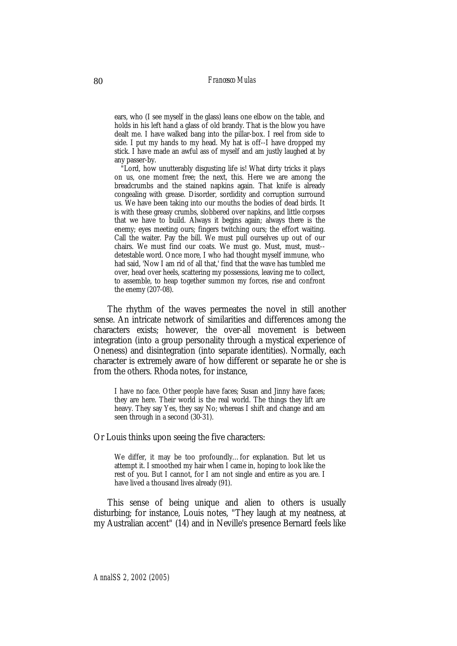ears, who (I see myself in the glass) leans one elbow on the table, and holds in his left hand a glass of old brandy. That is the blow you have dealt me. I have walked bang into the pillar-box. I reel from side to side. I put my hands to my head. My hat is off--I have dropped my stick. I have made an awful ass of myself and am justly laughed at by any passer-by.

"Lord, how unutterably disgusting life is! What dirty tricks it plays on us, one moment free; the next, this. Here we are among the breadcrumbs and the stained napkins again. That knife is already congealing with grease. Disorder, sordidity and corruption surround us. We have been taking into our mouths the bodies of dead birds. It is with these greasy crumbs, slobbered over napkins, and little corpses that we have to build. Always it begins again; always there is the enemy; eyes meeting ours; fingers twitching ours; the effort waiting. Call the waiter. Pay the bill. We must pull ourselves up out of our chairs. We must find our coats. We must go. Must, must, must- detestable word. Once more, I who had thought myself immune, who had said, 'Now I am rid of all that,' find that the wave has tumbled me over, head over heels, scattering my possessions, leaving me to collect, to assemble, to heap together summon my forces, rise and confront the enemy (207-08).

The rhythm of the waves permeates the novel in still another sense. An intricate network of similarities and differences among the characters exists; however, the over-all movement is between integration (into a group personality through a mystical experience of Oneness) and disintegration (into separate identities). Normally, each character is extremely aware of how different or separate he or she is from the others. Rhoda notes, for instance,

I have no face. Other people have faces; Susan and Jinny have faces; they are here. Their world is the real world. The things they lift are heavy. They say Yes, they say No; whereas I shift and change and am seen through in a second (30-31).

Or Louis thinks upon seeing the five characters:

We differ, it may be too profoundly…for explanation. But let us attempt it. I smoothed my hair when I came in, hoping to look like the rest of you. But I cannot, for I am not single and entire as you are. I have lived a thousand lives already (91).

This sense of being unique and alien to others is usually disturbing; for instance, Louis notes, "They laugh at my neatness, at my Australian accent" (14) and in Neville's presence Bernard feels like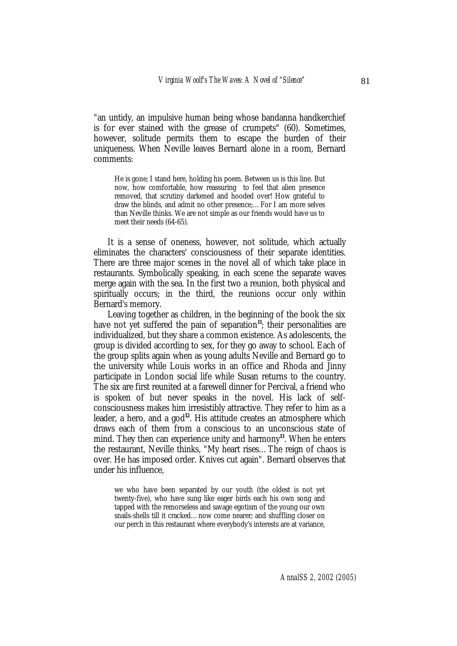"an untidy, an impulsive human being whose bandanna handkerchief is for ever stained with the grease of crumpets" (60). Sometimes, however, solitude permits them to escape the burden of their uniqueness. When Neville leaves Bernard alone in a room, Bernard comments:

He is gone; I stand here, holding his poem. Between us is this line. But now, how comfortable, how reassuring to feel that alien presence removed, that scrutiny darkened and hooded over! How grateful to draw the blinds, and admit no other presence;…For I am more selves than Neville thinks. We are not simple as our friends would have us to meet their needs (64-65).

It is a sense of oneness, however, not solitude, which actually eliminates the characters' consciousness of their separate identities. There are three major scenes in the novel all of which take place in restaurants. Symbolically speaking, in each scene the separate waves merge again with the sea. In the first two a reunion, both physical and spiritually occurs; in the third, the reunions occur only within Bernard's memory.

Leaving together as children, in the beginning of the book the six have not yet suffered the pain of separation<sup>11</sup>; their personalities are individualized, but they share a common existence. As adolescents, the group is divided according to sex, for they go away to school. Each of the group splits again when as young adults Neville and Bernard go to the university while Louis works in an office and Rhoda and Jinny participate in London social life while Susan returns to the country. The six are first reunited at a farewell dinner for Percival, a friend who is spoken of but never speaks in the novel. His lack of selfconsciousness makes him irresistibly attractive. They refer to him as a leader, a hero, and a god<sup>12</sup>. His attitude creates an atmosphere which draws each of them from a conscious to an unconscious state of mind. They then can experience unity and harmony**<sup>13</sup>** . When he enters the restaurant, Neville thinks, "My heart rises…The reign of chaos is over. He has imposed order. Knives cut again". Bernard observes that under his influence,

we who have been separated by our youth (the oldest is not yet twenty-five), who have sung like eager birds each his own song and tapped with the remorseless and savage egotism of the young our own snails-shells till it cracked…now come nearer; and shuffling closer on our perch in this restaurant where everybody's interests are at variance,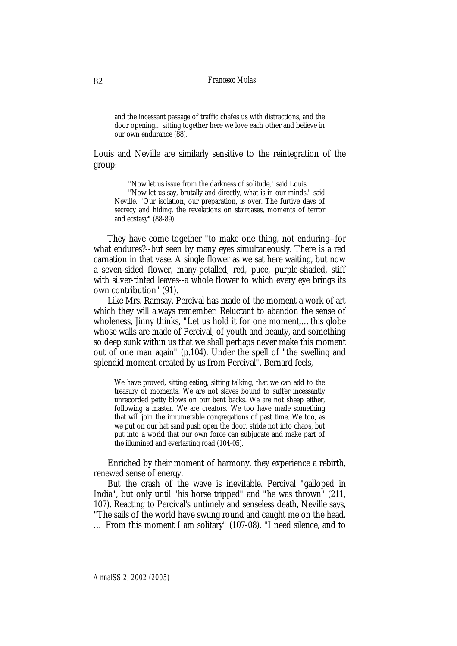and the incessant passage of traffic chafes us with distractions, and the door opening…sitting together here we love each other and believe in our own endurance (88).

Louis and Neville are similarly sensitive to the reintegration of the group:

"Now let us issue from the darkness of solitude," said Louis. "Now let us say, brutally and directly, what is in our minds," said Neville. "Our isolation, our preparation, is over. The furtive days of secrecy and hiding, the revelations on staircases, moments of terror and ecstasy" (88-89).

They have come together "to make one thing, not enduring--for what endures?--but seen by many eyes simultaneously. There is a red carnation in that vase. A single flower as we sat here waiting, but now a seven-sided flower, many-petalled, red, puce, purple-shaded, stiff with silver-tinted leaves--a whole flower to which every eye brings its own contribution" (91).

Like Mrs. Ramsay, Percival has made of the moment a work of art which they will always remember: Reluctant to abandon the sense of wholeness, Jinny thinks, "Let us hold it for one moment,…this globe whose walls are made of Percival, of youth and beauty, and something so deep sunk within us that we shall perhaps never make this moment out of one man again" (p.104). Under the spell of "the swelling and splendid moment created by us from Percival", Bernard feels,

We have proved, sitting eating, sitting talking, that we can add to the treasury of moments. We are not slaves bound to suffer incessantly unrecorded petty blows on our bent backs. We are not sheep either, following a master. We are creators. We too have made something that will join the innumerable congregations of past time. We too, as we put on our hat sand push open the door, stride not into chaos, but put into a world that our own force can subjugate and make part of the illumined and everlasting road (104-05).

Enriched by their moment of harmony, they experience a rebirth, renewed sense of energy.

But the crash of the wave is inevitable. Percival "galloped in India", but only until "his horse tripped" and "he was thrown" (211, 107). Reacting to Percival's untimely and senseless death, Neville says, "The sails of the world have swung round and caught me on the head. … From this moment I am solitary" (107-08). "I need silence, and to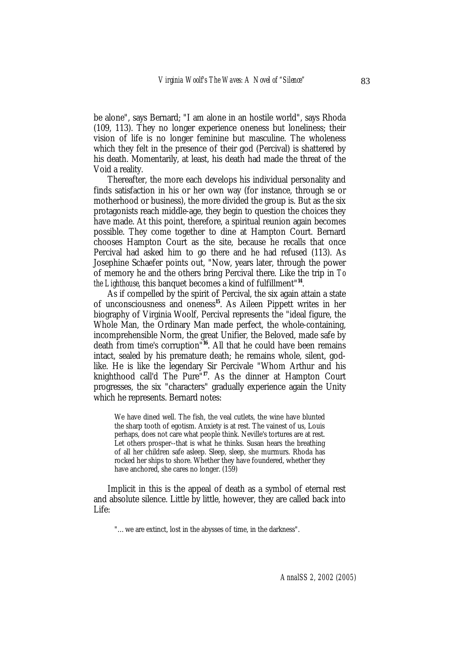be alone", says Bernard; "I am alone in an hostile world", says Rhoda (109, 113). They no longer experience oneness but loneliness; their vision of life is no longer feminine but masculine. The wholeness which they felt in the presence of their god (Percival) is shattered by his death. Momentarily, at least, his death had made the threat of the Void a reality.

Thereafter, the more each develops his individual personality and finds satisfaction in his or her own way (for instance, through se or motherhood or business), the more divided the group is. But as the six protagonists reach middle-age, they begin to question the choices they have made. At this point, therefore, a spiritual reunion again becomes possible. They come together to dine at Hampton Court. Bernard chooses Hampton Court as the site, because he recalls that once Percival had asked him to go there and he had refused (113). As Josephine Schaefer points out, "Now, years later, through the power of memory he and the others bring Percival there. Like the trip in *To the Lighthouse*, this banquet becomes a kind of fulfillment" **14** .

As if compelled by the spirit of Percival, the six again attain a state of unconsciousness and oneness**<sup>15</sup>** . As Aileen Pippett writes in her biography of Virginia Woolf, Percival represents the "ideal figure, the Whole Man, the Ordinary Man made perfect, the whole-containing, incomprehensible Norm, the great Unifier, the Beloved, made safe by death from time's corruption" **16** . All that he could have been remains intact, sealed by his premature death; he remains whole, silent, godlike. He is like the legendary Sir Percivale "Whom Arthur and his knighthood call'd The Pure" **17** . As the dinner at Hampton Court progresses, the six "characters" gradually experience again the Unity which he represents. Bernard notes:

We have dined well. The fish, the veal cutlets, the wine have blunted the sharp tooth of egotism. Anxiety is at rest. The vainest of us, Louis perhaps, does not care what people think. Neville's tortures are at rest. Let others prosper--that is what he thinks. Susan hears the breathing of all her children safe asleep. Sleep, sleep, she murmurs. Rhoda has rocked her ships to shore. Whether they have foundered, whether they have anchored, she cares no longer. (159)

Implicit in this is the appeal of death as a symbol of eternal rest and absolute silence. Little by little, however, they are called back into Life:

"…we are extinct, lost in the abysses of time, in the darkness".

*AnnalSS 2, 2002 (2005)*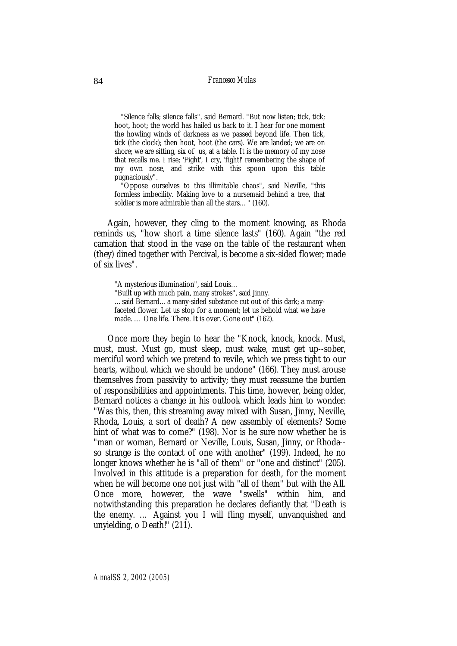"Silence falls; silence falls", said Bernard. "But now listen; tick, tick; hoot, hoot; the world has hailed us back to it. I hear for one moment the howling winds of darkness as we passed beyond life. Then tick, tick (the clock); then hoot, hoot (the cars). We are landed; we are on shore; we are sitting, six of us, at a table. It is the memory of my nose that recalls me. I rise; 'Fight', I cry, 'fight!' remembering the shape of my own nose, and strike with this spoon upon this table pugnaciously".

"Oppose ourselves to this illimitable chaos", said Neville, "this formless imbecility. Making love to a nursemaid behind a tree, that soldier is more admirable than all the stars…" (160).

Again, however, they cling to the moment knowing, as Rhoda reminds us, "how short a time silence lasts" (160). Again "the red carnation that stood in the vase on the table of the restaurant when (they) dined together with Percival, is become a six-sided flower; made of six lives".

"A mysterious illumination", said Louis… "Built up with much pain, many strokes", said Jinny. …said Bernard…a many-sided substance cut out of this dark; a manyfaceted flower. Let us stop for a moment; let us behold what we have made. … One life. There. It is over. Gone out" (162).

Once more they begin to hear the "Knock, knock, knock. Must, must, must. Must go, must sleep, must wake, must get up--sober, merciful word which we pretend to revile, which we press tight to our hearts, without which we should be undone" (166). They must arouse themselves from passivity to activity; they must reassume the burden of responsibilities and appointments. This time, however, being older, Bernard notices a change in his outlook which leads him to wonder: "Was this, then, this streaming away mixed with Susan, Jinny, Neville, Rhoda, Louis, a sort of death? A new assembly of elements? Some hint of what was to come?" (198). Nor is he sure now whether he is "man or woman, Bernard or Neville, Louis, Susan, Jinny, or Rhoda- so strange is the contact of one with another" (199). Indeed, he no longer knows whether he is "all of them" or "one and distinct" (205). Involved in this attitude is a preparation for death, for the moment when he will become one not just with "all of them" but with the All. Once more, however, the wave "swells" within him, and notwithstanding this preparation he declares defiantly that "Death is the enemy. … Against you I will fling myself, unvanquished and unyielding, o Death!" (211).

*AnnalSS 2, 2002 (2005)*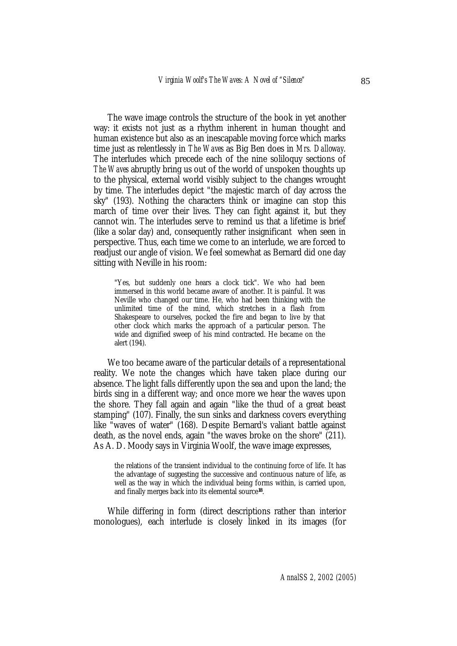The wave image controls the structure of the book in yet another way: it exists not just as a rhythm inherent in human thought and human existence but also as an inescapable moving force which marks time just as relentlessly in *The Waves* as Big Ben does in *Mrs. Dalloway*. The interludes which precede each of the nine soliloquy sections of *The Waves* abruptly bring us out of the world of unspoken thoughts up to the physical, external world visibly subject to the changes wrought by time. The interludes depict "the majestic march of day across the sky" (193). Nothing the characters think or imagine can stop this march of time over their lives. They can fight against it, but they cannot win. The interludes serve to remind us that a lifetime is brief (like a solar day) and, consequently rather insignificant when seen in perspective. Thus, each time we come to an interlude, we are forced to readjust our angle of vision. We feel somewhat as Bernard did one day sitting with Neville in his room:

"Yes, but suddenly one hears a clock tick". We who had been immersed in this world became aware of another. It is painful. It was Neville who changed our time. He, who had been thinking with the unlimited time of the mind, which stretches in a flash from Shakespeare to ourselves, pocked the fire and began to live by that other clock which marks the approach of a particular person. The wide and dignified sweep of his mind contracted. He became on the alert (194).

We too became aware of the particular details of a representational reality. We note the changes which have taken place during our absence. The light falls differently upon the sea and upon the land; the birds sing in a different way; and once more we hear the waves upon the shore. They fall again and again "like the thud of a great beast stamping" (107). Finally, the sun sinks and darkness covers everything like "waves of water" (168). Despite Bernard's valiant battle against death, as the novel ends, again "the waves broke on the shore" (211). As A. D. Moody says in Virginia Woolf, the wave image expresses,

the relations of the transient individual to the continuing force of life. It has the advantage of suggesting the successive and continuous nature of life, as well as the way in which the individual being forms within, is carried upon, and finally merges back into its elemental source**<sup>18</sup>** .

While differing in form (direct descriptions rather than interior monologues), each interlude is closely linked in its images (for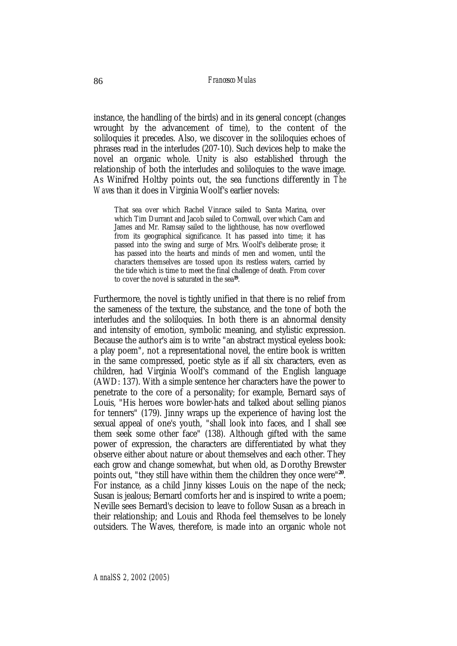instance, the handling of the birds) and in its general concept (changes wrought by the advancement of time), to the content of the soliloquies it precedes. Also, we discover in the soliloquies echoes of phrases read in the interludes (207-10). Such devices help to make the novel an organic whole. Unity is also established through the relationship of both the interludes and soliloquies to the wave image. As Winifred Holtby points out, the sea functions differently in *The Waves* than it does in Virginia Woolf's earlier novels:

That sea over which Rachel Vinrace sailed to Santa Marina, over which Tim Durrant and Jacob sailed to Cornwall, over which Cam and James and Mr. Ramsay sailed to the lighthouse, has now overflowed from its geographical significance. It has passed into time; it has passed into the swing and surge of Mrs. Woolf's deliberate prose; it has passed into the hearts and minds of men and women, until the characters themselves are tossed upon its restless waters, carried by the tide which is time to meet the final challenge of death. From cover to cover the novel is saturated in the sea**<sup>19</sup>** .

Furthermore, the novel is tightly unified in that there is no relief from the sameness of the texture, the substance, and the tone of both the interludes and the soliloquies. In both there is an abnormal density and intensity of emotion, symbolic meaning, and stylistic expression. Because the author's aim is to write "an abstract mystical eyeless book: a play poem", not a representational novel, the entire book is written in the same compressed, poetic style as if all six characters, even as children, had Virginia Woolf's command of the English language (AWD: 137). With a simple sentence her characters have the power to penetrate to the core of a personality; for example, Bernard says of Louis, "His heroes wore bowler-hats and talked about selling pianos for tenners" (179). Jinny wraps up the experience of having lost the sexual appeal of one's youth, "shall look into faces, and I shall see them seek some other face" (138). Although gifted with the same power of expression, the characters are differentiated by what they observe either about nature or about themselves and each other. They each grow and change somewhat, but when old, as Dorothy Brewster points out, "they still have within them the children they once were" **20** . For instance, as a child Jinny kisses Louis on the nape of the neck; Susan is jealous; Bernard comforts her and is inspired to write a poem; Neville sees Bernard's decision to leave to follow Susan as a breach in their relationship; and Louis and Rhoda feel themselves to be lonely outsiders. The Waves, therefore, is made into an organic whole not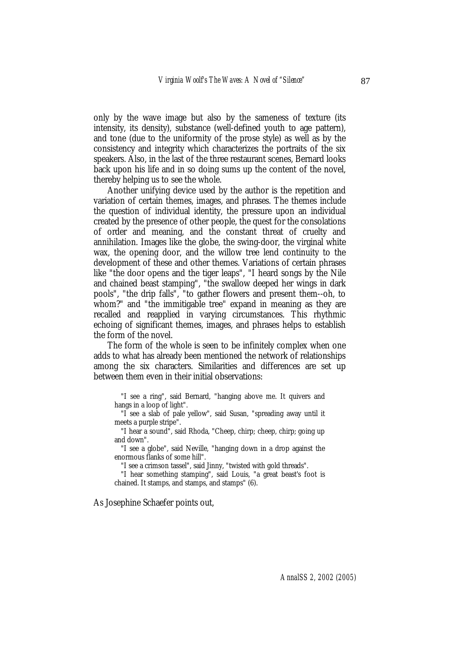only by the wave image but also by the sameness of texture (its intensity, its density), substance (well-defined youth to age pattern), and tone (due to the uniformity of the prose style) as well as by the consistency and integrity which characterizes the portraits of the six speakers. Also, in the last of the three restaurant scenes, Bernard looks back upon his life and in so doing sums up the content of the novel, thereby helping us to see the whole.

Another unifying device used by the author is the repetition and variation of certain themes, images, and phrases. The themes include the question of individual identity, the pressure upon an individual created by the presence of other people, the quest for the consolations of order and meaning, and the constant threat of cruelty and annihilation. Images like the globe, the swing-door, the virginal white wax, the opening door, and the willow tree lend continuity to the development of these and other themes. Variations of certain phrases like "the door opens and the tiger leaps", "I heard songs by the Nile and chained beast stamping", "the swallow deeped her wings in dark pools", "the drip falls", "to gather flowers and present them--oh, to whom?" and "the immitigable tree" expand in meaning as they are recalled and reapplied in varying circumstances. This rhythmic echoing of significant themes, images, and phrases helps to establish the form of the novel.

The form of the whole is seen to be infinitely complex when one adds to what has already been mentioned the network of relationships among the six characters. Similarities and differences are set up between them even in their initial observations:

"I see a ring", said Bernard, "hanging above me. It quivers and hangs in a loop of light".

"I see a slab of pale yellow", said Susan, "spreading away until it meets a purple stripe".

"I hear a sound", said Rhoda, "Cheep, chirp; cheep, chirp; going up and down".

"I see a globe", said Neville, "hanging down in a drop against the enormous flanks of some hill".

"I see a crimson tassel", said Jinny, "twisted with gold threads".

"I hear something stamping", said Louis, "a great beast's foot is chained. It stamps, and stamps, and stamps" (6).

As Josephine Schaefer points out,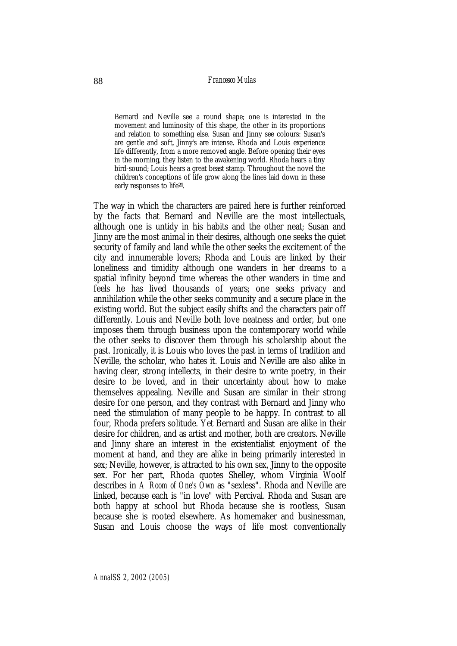Bernard and Neville see a round shape; one is interested in the movement and luminosity of this shape, the other in its proportions and relation to something else. Susan and Jinny see colours: Susan's are gentle and soft, Jinny's are intense. Rhoda and Louis experience life differently, from a more removed angle. Before opening their eyes in the morning, they listen to the awakening world. Rhoda hears a tiny bird-sound; Louis hears a great beast stamp. Throughout the novel the children's conceptions of life grow along the lines laid down in these early responses to life**<sup>21</sup>** .

The way in which the characters are paired here is further reinforced by the facts that Bernard and Neville are the most intellectuals, although one is untidy in his habits and the other neat; Susan and Jinny are the most animal in their desires, although one seeks the quiet security of family and land while the other seeks the excitement of the city and innumerable lovers; Rhoda and Louis are linked by their loneliness and timidity although one wanders in her dreams to a spatial infinity beyond time whereas the other wanders in time and feels he has lived thousands of years; one seeks privacy and annihilation while the other seeks community and a secure place in the existing world. But the subject easily shifts and the characters pair off differently. Louis and Neville both love neatness and order, but one imposes them through business upon the contemporary world while the other seeks to discover them through his scholarship about the past. Ironically, it is Louis who loves the past in terms of tradition and Neville, the scholar, who hates it. Louis and Neville are also alike in having clear, strong intellects, in their desire to write poetry, in their desire to be loved, and in their uncertainty about how to make themselves appealing. Neville and Susan are similar in their strong desire for one person, and they contrast with Bernard and Jinny who need the stimulation of many people to be happy. In contrast to all four, Rhoda prefers solitude. Yet Bernard and Susan are alike in their desire for children, and as artist and mother, both are creators. Neville and Jinny share an interest in the existentialist enjoyment of the moment at hand, and they are alike in being primarily interested in sex; Neville, however, is attracted to his own sex, Jinny to the opposite sex. For her part, Rhoda quotes Shelley, whom Virginia Woolf describes in *A Room of One's Own* as "sexless". Rhoda and Neville are linked, because each is "in love" with Percival. Rhoda and Susan are both happy at school but Rhoda because she is rootless, Susan because she is rooted elsewhere. As homemaker and businessman, Susan and Louis choose the ways of life most conventionally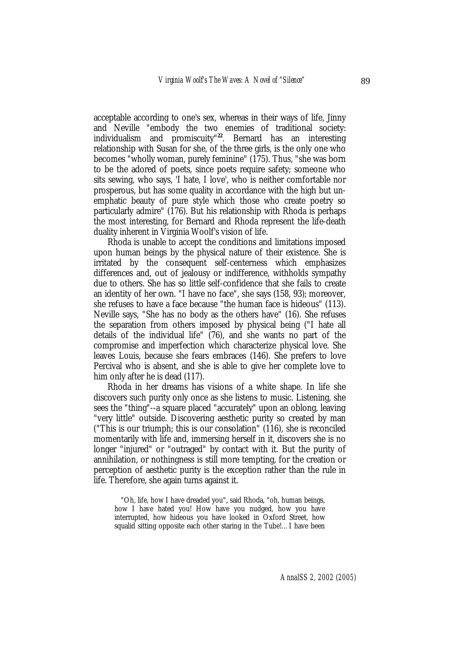acceptable according to one's sex, whereas in their ways of life, Jinny and Neville "embody the two enemies of traditional society: individualism and promiscuity" **22** . Bernard has an interesting relationship with Susan for she, of the three girls, is the only one who becomes "wholly woman, purely feminine" (175). Thus, "she was born to be the adored of poets, since poets require safety; someone who sits sewing, who says, 'I hate, I love', who is neither comfortable nor prosperous, but has some quality in accordance with the high but unemphatic beauty of pure style which those who create poetry so particularly admire" (176). But his relationship with Rhoda is perhaps the most interesting, for Bernard and Rhoda represent the life-death duality inherent in Virginia Woolf's vision of life.

Rhoda is unable to accept the conditions and limitations imposed upon human beings by the physical nature of their existence. She is irritated by the consequent self-centerness which emphasizes differences and, out of jealousy or indifference, withholds sympathy due to others. She has so little self-confidence that she fails to create an identity of her own. "I have no face", she says (158, 93); moreover, she refuses to have a face because "the human face is hideous" (113). Neville says, "She has no body as the others have" (16). She refuses the separation from others imposed by physical being ("I hate all details of the individual life" (76), and she wants no part of the compromise and imperfection which characterize physical love. She leaves Louis, because she fears embraces (146). She prefers to love Percival who is absent, and she is able to give her complete love to him only after he is dead  $(117)$ .

Rhoda in her dreams has visions of a white shape. In life she discovers such purity only once as she listens to music. Listening, she sees the "thing"--a square placed "accurately" upon an oblong, leaving "very little" outside. Discovering aesthetic purity so created by man ("This is our triumph; this is our consolation" (116), she is reconciled momentarily with life and, immersing herself in it, discovers she is no longer "injured" or "outraged" by contact with it. But the purity of annihilation, or nothingness is still more tempting, for the creation or perception of aesthetic purity is the exception rather than the rule in life. Therefore, she again turns against it.

"Oh, life, how I have dreaded you", said Rhoda, "oh, human beings, how I have hated you! How have you nudged, how you have interrupted, how hideous you have looked in Oxford Street, how squalid sitting opposite each other staring in the Tube!…I have been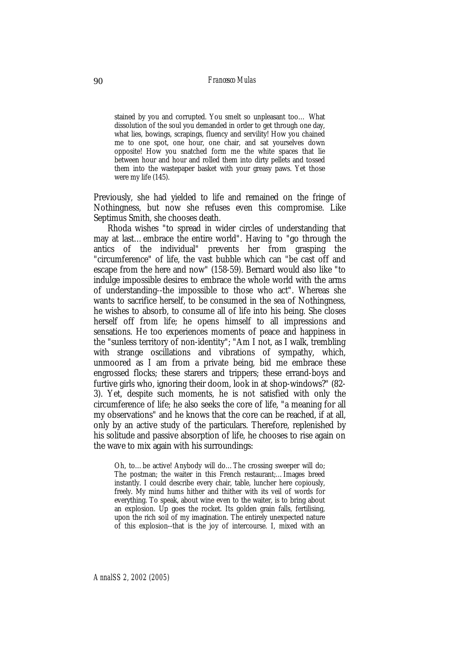stained by you and corrupted. You smelt so unpleasant too… What dissolution of the soul you demanded in order to get through one day, what lies, bowings, scrapings, fluency and servility! How you chained me to one spot, one hour, one chair, and sat yourselves down opposite! How you snatched form me the white spaces that lie between hour and hour and rolled them into dirty pellets and tossed them into the wastepaper basket with your greasy paws. Yet those were my life (145).

Previously, she had yielded to life and remained on the fringe of Nothingness, but now she refuses even this compromise. Like Septimus Smith, she chooses death.

Rhoda wishes "to spread in wider circles of understanding that may at last…embrace the entire world". Having to "go through the antics of the individual" prevents her from grasping the "circumference" of life, the vast bubble which can "be cast off and escape from the here and now" (158-59). Bernard would also like "to indulge impossible desires to embrace the whole world with the arms of understanding--the impossible to those who act". Whereas she wants to sacrifice herself, to be consumed in the sea of Nothingness, he wishes to absorb, to consume all of life into his being. She closes herself off from life; he opens himself to all impressions and sensations. He too experiences moments of peace and happiness in the "sunless territory of non-identity"; "Am I not, as I walk, trembling with strange oscillations and vibrations of sympathy, which, unmoored as I am from a private being, bid me embrace these engrossed flocks; these starers and trippers; these errand-boys and furtive girls who, ignoring their doom, look in at shop-windows?" (82- 3). Yet, despite such moments, he is not satisfied with only the circumference of life; he also seeks the core of life, "a meaning for all my observations" and he knows that the core can be reached, if at all, only by an active study of the particulars. Therefore, replenished by his solitude and passive absorption of life, he chooses to rise again on the wave to mix again with his surroundings:

Oh, to…be active! Anybody will do…The crossing sweeper will do; The postman; the waiter in this French restaurant;…Images breed instantly. I could describe every chair, table, luncher here copiously, freely. My mind hums hither and thither with its veil of words for everything. To speak, about wine even to the waiter, is to bring about an explosion. Up goes the rocket. Its golden grain falls, fertilising, upon the rich soil of my imagination. The entirely unexpected nature of this explosion--that is the joy of intercourse. I, mixed with an

*AnnalSS 2, 2002 (2005)*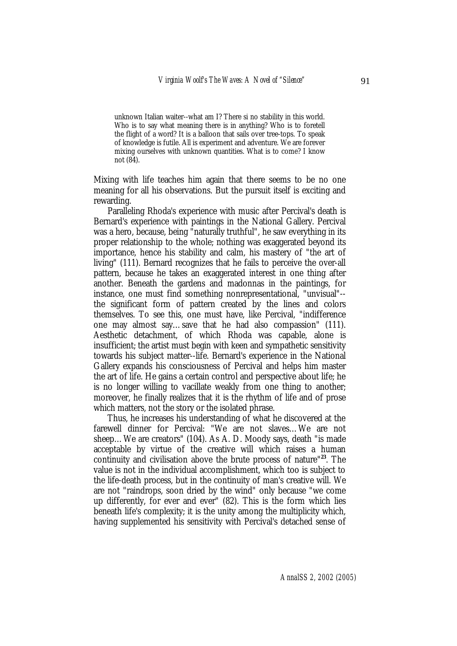unknown Italian waiter--what am I? There si no stability in this world. Who is to say what meaning there is in anything? Who is to foretell the flight of a word? It is a balloon that sails over tree-tops. To speak of knowledge is futile. All is experiment and adventure. We are forever mixing ourselves with unknown quantities. What is to come? I know not (84).

Mixing with life teaches him again that there seems to be no one meaning for all his observations. But the pursuit itself is exciting and rewarding.

Paralleling Rhoda's experience with music after Percival's death is Bernard's experience with paintings in the National Gallery. Percival was a hero, because, being "naturally truthful", he saw everything in its proper relationship to the whole; nothing was exaggerated beyond its importance, hence his stability and calm, his mastery of "the art of living" (111). Bernard recognizes that he fails to perceive the over-all pattern, because he takes an exaggerated interest in one thing after another. Beneath the gardens and madonnas in the paintings, for instance, one must find something nonrepresentational, "unvisual"- the significant form of pattern created by the lines and colors themselves. To see this, one must have, like Percival, "indifference one may almost say…save that he had also compassion" (111). Aesthetic detachment, of which Rhoda was capable, alone is insufficient; the artist must begin with keen and sympathetic sensitivity towards his subject matter--life. Bernard's experience in the National Gallery expands his consciousness of Percival and helps him master the art of life. He gains a certain control and perspective about life; he is no longer willing to vacillate weakly from one thing to another; moreover, he finally realizes that it is the rhythm of life and of prose which matters, not the story or the isolated phrase.

Thus, he increases his understanding of what he discovered at the farewell dinner for Percival: "We are not slaves…We are not sheep…We are creators" (104). As A. D. Moody says, death "is made acceptable by virtue of the creative will which raises a human continuity and civilisation above the brute process of nature" **23** . The value is not in the individual accomplishment, which too is subject to the life-death process, but in the continuity of man's creative will. We are not "raindrops, soon dried by the wind" only because "we come up differently, for ever and ever" (82). This is the form which lies beneath life's complexity; it is the unity among the multiplicity which, having supplemented his sensitivity with Percival's detached sense of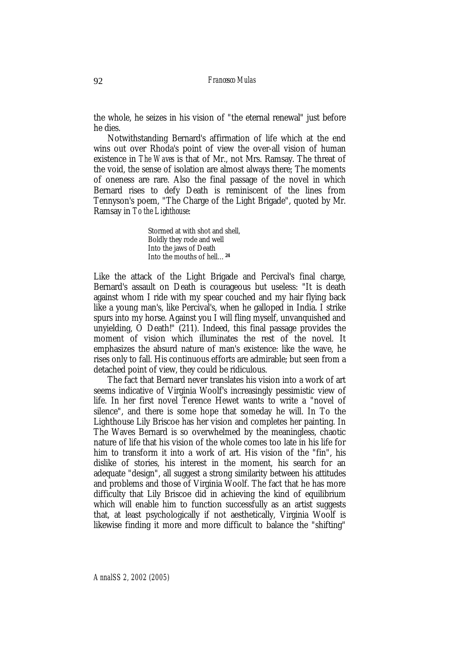the whole, he seizes in his vision of "the eternal renewal" just before he dies.

Notwithstanding Bernard's affirmation of life which at the end wins out over Rhoda's point of view the over-all vision of human existence in *The Waves* is that of Mr., not Mrs. Ramsay. The threat of the void, the sense of isolation are almost always there; The moments of oneness are rare. Also the final passage of the novel in which Bernard rises to defy Death is reminiscent of the lines from Tennyson's poem, "The Charge of the Light Brigade", quoted by Mr. Ramsay in *To the Lighthouse*:

> Stormed at with shot and shell, Boldly they rode and well Into the jaws of Death Into the mouths of hell…**<sup>24</sup>**

Like the attack of the Light Brigade and Percival's final charge, Bernard's assault on Death is courageous but useless: "It is death against whom I ride with my spear couched and my hair flying back like a young man's, like Percival's, when he galloped in India. I strike spurs into my horse. Against you I will fling myself, unvanquished and unyielding, O Death!" (211). Indeed, this final passage provides the moment of vision which illuminates the rest of the novel. It emphasizes the absurd nature of man's existence: like the wave, he rises only to fall. His continuous efforts are admirable; but seen from a detached point of view, they could be ridiculous.

The fact that Bernard never translates his vision into a work of art seems indicative of Virginia Woolf's increasingly pessimistic view of life. In her first novel Terence Hewet wants to write a "novel of silence", and there is some hope that someday he will. In To the Lighthouse Lily Briscoe has her vision and completes her painting. In The Waves Bernard is so overwhelmed by the meaningless, chaotic nature of life that his vision of the whole comes too late in his life for him to transform it into a work of art. His vision of the "fin", his dislike of stories, his interest in the moment, his search for an adequate "design", all suggest a strong similarity between his attitudes and problems and those of Virginia Woolf. The fact that he has more difficulty that Lily Briscoe did in achieving the kind of equilibrium which will enable him to function successfully as an artist suggests that, at least psychologically if not aesthetically, Virginia Woolf is likewise finding it more and more difficult to balance the "shifting"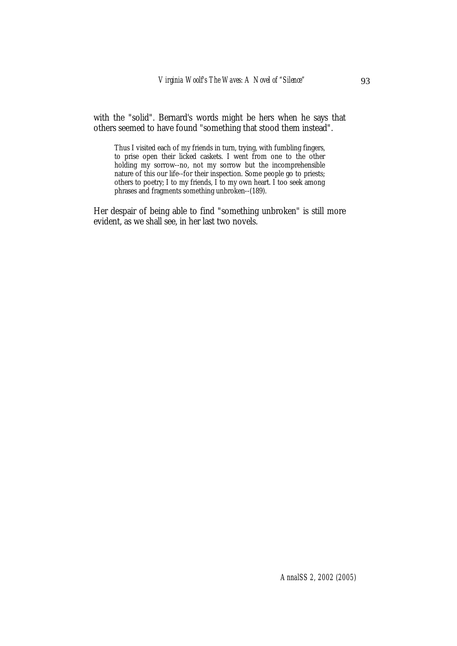with the "solid". Bernard's words might be hers when he says that others seemed to have found "something that stood them instead".

Thus I visited each of my friends in turn, trying, with fumbling fingers, to prise open their licked caskets. I went from one to the other holding my sorrow--no, not my sorrow but the incomprehensible nature of this our life--for their inspection. Some people go to priests; others to poetry; I to my friends, I to my own heart. I too seek among phrases and fragments something unbroken--(189).

Her despair of being able to find "something unbroken" is still more evident, as we shall see, in her last two novels.